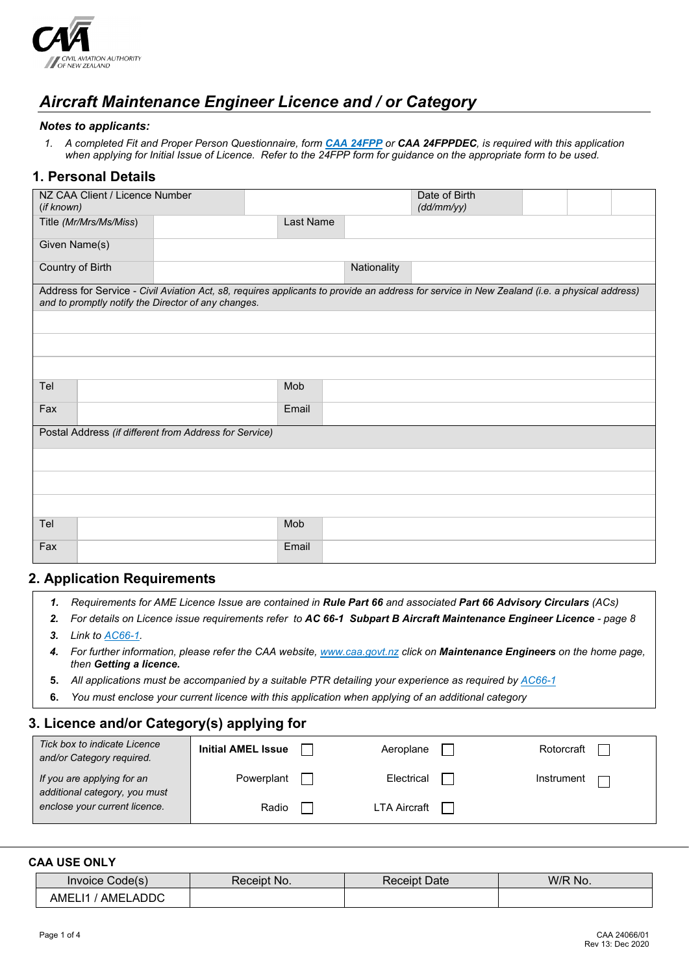

# *Aircraft Maintenance Engineer Licence and / or Category*

#### *Notes to applicants:*

*1. A completed Fit and Proper Person Questionnaire, form [CAA 24FPP](http://www.caa.govt.nz/forms/24FPP.pdf) or CAA 24FPPDEC, is required with this application when applying for Initial Issue of Licence. Refer to the 24FPP form for guidance on the appropriate form to be used.*

### **1. Personal Details**

| NZ CAA Client / Licence Number<br>(if known)           |           |             | Date of Birth<br>(dd/mm/yy)                                                                                                                  |  |  |
|--------------------------------------------------------|-----------|-------------|----------------------------------------------------------------------------------------------------------------------------------------------|--|--|
| Title (Mr/Mrs/Ms/Miss)                                 | Last Name |             |                                                                                                                                              |  |  |
| Given Name(s)                                          |           |             |                                                                                                                                              |  |  |
| Country of Birth                                       |           | Nationality |                                                                                                                                              |  |  |
| and to promptly notify the Director of any changes.    |           |             | Address for Service - Civil Aviation Act, s8, requires applicants to provide an address for service in New Zealand (i.e. a physical address) |  |  |
|                                                        |           |             |                                                                                                                                              |  |  |
|                                                        |           |             |                                                                                                                                              |  |  |
|                                                        |           |             |                                                                                                                                              |  |  |
| Tel                                                    | Mob       |             |                                                                                                                                              |  |  |
| Fax                                                    | Email     |             |                                                                                                                                              |  |  |
| Postal Address (if different from Address for Service) |           |             |                                                                                                                                              |  |  |
|                                                        |           |             |                                                                                                                                              |  |  |
|                                                        |           |             |                                                                                                                                              |  |  |
|                                                        |           |             |                                                                                                                                              |  |  |
| Tel                                                    | Mob       |             |                                                                                                                                              |  |  |
| Fax                                                    | Email     |             |                                                                                                                                              |  |  |

## **2. Application Requirements**

- *1. Requirements for AME Licence Issue are contained in Rule Part 66 and associated Part 66 Advisory Circulars (ACs)*
- *2. For details on Licence issue requirements refer to AC 66-1 Subpart B Aircraft Maintenance Engineer Licence - page 8*
- *3. Link to [AC66-1.](http://www.caa.govt.nz/Advisory_Circulars/AC66_1.pdf)*
- *4. For further information, please refer the CAA website[, www.caa.govt.nz](http://www.caa.govt.nz/) click on Maintenance Engineers on the home page, then Getting a licence.*
- **5.** *All applications must be accompanied by a suitable PTR detailing your experience as required by [AC66-1](http://www.caa.govt.nz/Advisory_Circulars/AC66_1.pdf)*
- **6.** *You must enclose your current licence with this application when applying of an additional category*

## **3. Licence and/or Category(s) applying for**

| Tick box to indicate Licence<br>and/or Category required.   | <b>Initial AMEL Issue</b> | Aeroplane    | Rotorcraft |
|-------------------------------------------------------------|---------------------------|--------------|------------|
| If you are applying for an<br>additional category, you must | Powerplant                | Electrical   | Instrument |
| enclose your current licence.                               | Radio                     | LTA Aircraft |            |

#### **CAA USE ONLY**

| Invoice Code(s)   | No.<br>Receipt⊹ | <b>Receipt Date</b> | W/R No. |
|-------------------|-----------------|---------------------|---------|
| AMEL.<br>AMELADDC |                 |                     |         |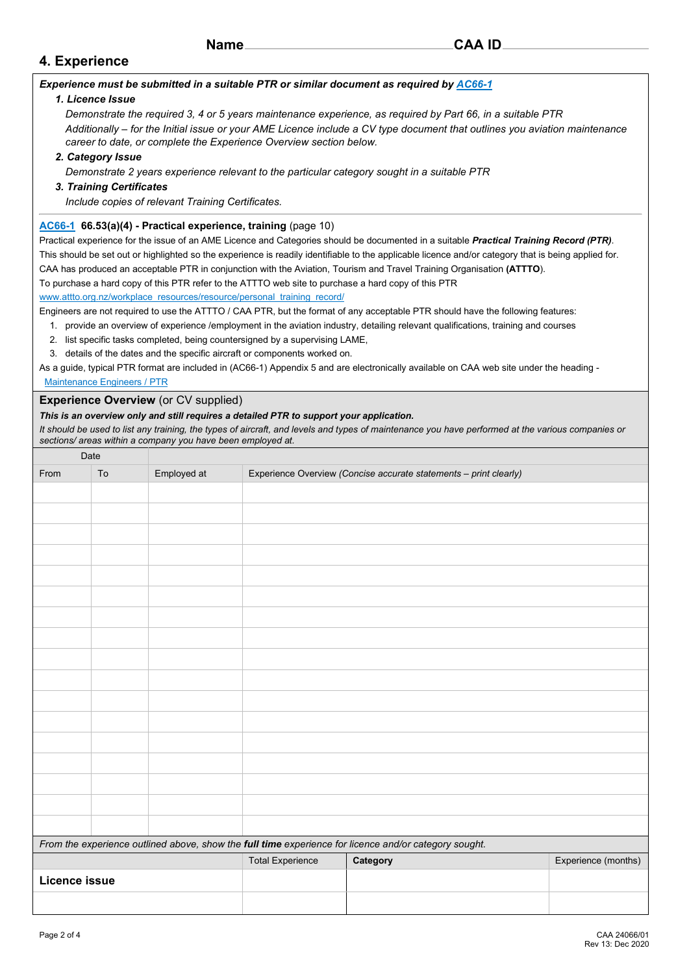| N. | amr |  |
|----|-----|--|
|----|-----|--|

## **4. Experience**

### *Experience must be submitted in a suitable PTR or similar document as required b[y AC66-1](http://www.caa.govt.nz/Advisory_Circulars/AC66_1.pdf)*

## *1. Licence Issue*

*Demonstrate the required 3, 4 or 5 years maintenance experience, as required by Part 66, in a suitable PTR Additionally – for the Initial issue or your AME Licence include a CV type document that outlines you aviation maintenance career to date, or complete the Experience Overview section below.*

#### *2. Category Issue*

*Demonstrate 2 years experience relevant to the particular category sought in a suitable PTR*

#### *3. Training Certificates*

*Include copies of relevant Training Certificates.*

#### **[AC66-1](http://www.caa.govt.nz/Advisory_Circulars/AC66_1.pdf) 66.53(a)(4) - Practical experience, training** (page 10)

Practical experience for the issue of an AME Licence and Categories should be documented in a suitable *Practical Training Record (PTR)*. This should be set out or highlighted so the experience is readily identifiable to the applicable licence and/or category that is being applied for. CAA has produced an acceptable PTR in conjunction with the Aviation, Tourism and Travel Training Organisation **(ATTTO**). To purchase a hard copy of this PTR refer to the ATTTO web site to purchase a hard copy of this PTR

[www.attto.org.nz/workplace\\_resources/resource/personal\\_training\\_record/](http://www.attto.org.nz/workplace_resources/resource/personal_training_record/)

Engineers are not required to use the ATTTO / CAA PTR, but the format of any acceptable PTR should have the following features:

- 1. provide an overview of experience /employment in the aviation industry, detailing relevant qualifications, training and courses
- 2. list specific tasks completed, being countersigned by a supervising LAME,
- 3. details of the dates and the specific aircraft or components worked on.

As a guide, typical PTR format are included in (AC66-1) Appendix 5 and are electronically available on CAA web site under the heading -  [Maintenance Engineers / PTR](http://www.caa.govt.nz/maintenance/maintenance_engineers.htm)

### **Experience Overview** (or CV supplied)

#### *This is an overview only and still requires a detailed PTR to support your application.*

*It should be used to list any training, the types of aircraft, and levels and types of maintenance you have performed at the various companies or sections/ areas within a company you have been employed at.*

| Date                 |                                                                                                       |             |                         |                                                                   |                     |  |  |  |  |  |
|----------------------|-------------------------------------------------------------------------------------------------------|-------------|-------------------------|-------------------------------------------------------------------|---------------------|--|--|--|--|--|
| From                 | To                                                                                                    | Employed at |                         | Experience Overview (Concise accurate statements - print clearly) |                     |  |  |  |  |  |
|                      |                                                                                                       |             |                         |                                                                   |                     |  |  |  |  |  |
|                      |                                                                                                       |             |                         |                                                                   |                     |  |  |  |  |  |
|                      |                                                                                                       |             |                         |                                                                   |                     |  |  |  |  |  |
|                      |                                                                                                       |             |                         |                                                                   |                     |  |  |  |  |  |
|                      |                                                                                                       |             |                         |                                                                   |                     |  |  |  |  |  |
|                      |                                                                                                       |             |                         |                                                                   |                     |  |  |  |  |  |
|                      |                                                                                                       |             |                         |                                                                   |                     |  |  |  |  |  |
|                      |                                                                                                       |             |                         |                                                                   |                     |  |  |  |  |  |
|                      |                                                                                                       |             |                         |                                                                   |                     |  |  |  |  |  |
|                      |                                                                                                       |             |                         |                                                                   |                     |  |  |  |  |  |
|                      |                                                                                                       |             |                         |                                                                   |                     |  |  |  |  |  |
|                      |                                                                                                       |             |                         |                                                                   |                     |  |  |  |  |  |
|                      |                                                                                                       |             |                         |                                                                   |                     |  |  |  |  |  |
|                      |                                                                                                       |             |                         |                                                                   |                     |  |  |  |  |  |
|                      |                                                                                                       |             |                         |                                                                   |                     |  |  |  |  |  |
|                      |                                                                                                       |             |                         |                                                                   |                     |  |  |  |  |  |
|                      |                                                                                                       |             |                         |                                                                   |                     |  |  |  |  |  |
|                      | From the experience outlined above, show the full time experience for licence and/or category sought. |             |                         |                                                                   |                     |  |  |  |  |  |
|                      |                                                                                                       |             | <b>Total Experience</b> | Category                                                          | Experience (months) |  |  |  |  |  |
| <b>Licence issue</b> |                                                                                                       |             |                         |                                                                   |                     |  |  |  |  |  |
|                      |                                                                                                       |             |                         |                                                                   |                     |  |  |  |  |  |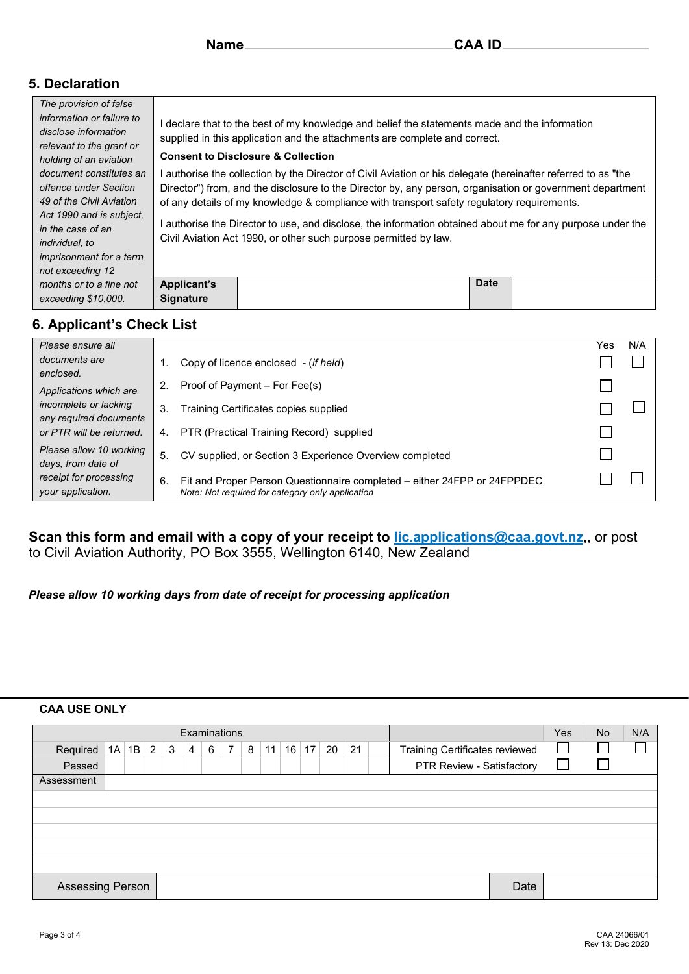## **5. Declaration**

| The provision of false                                                        |                                                                                                                                                                             |  |  |  |  |  |  |  |  |  |  |
|-------------------------------------------------------------------------------|-----------------------------------------------------------------------------------------------------------------------------------------------------------------------------|--|--|--|--|--|--|--|--|--|--|
| information or failure to<br>disclose information<br>relevant to the grant or | I declare that to the best of my knowledge and belief the statements made and the information<br>supplied in this application and the attachments are complete and correct. |  |  |  |  |  |  |  |  |  |  |
| holding of an aviation                                                        | <b>Consent to Disclosure &amp; Collection</b>                                                                                                                               |  |  |  |  |  |  |  |  |  |  |
| document constitutes an                                                       | authorise the collection by the Director of Civil Aviation or his delegate (hereinafter referred to as "the                                                                 |  |  |  |  |  |  |  |  |  |  |
| offence under Section                                                         | Director") from, and the disclosure to the Director by, any person, organisation or government department                                                                   |  |  |  |  |  |  |  |  |  |  |
| 49 of the Civil Aviation                                                      | of any details of my knowledge & compliance with transport safety regulatory requirements.                                                                                  |  |  |  |  |  |  |  |  |  |  |
| Act 1990 and is subject.                                                      |                                                                                                                                                                             |  |  |  |  |  |  |  |  |  |  |
| in the case of an                                                             | l authorise the Director to use, and disclose, the information obtained about me for any purpose under the                                                                  |  |  |  |  |  |  |  |  |  |  |
| <i>individual, to</i>                                                         | Civil Aviation Act 1990, or other such purpose permitted by law.                                                                                                            |  |  |  |  |  |  |  |  |  |  |
| <i>imprisonment for a term</i>                                                |                                                                                                                                                                             |  |  |  |  |  |  |  |  |  |  |
| not exceeding 12                                                              |                                                                                                                                                                             |  |  |  |  |  |  |  |  |  |  |
| months or to a fine not                                                       | <b>Date</b><br><b>Applicant's</b>                                                                                                                                           |  |  |  |  |  |  |  |  |  |  |
| exceeding \$10,000.                                                           | <b>Signature</b>                                                                                                                                                            |  |  |  |  |  |  |  |  |  |  |
|                                                                               |                                                                                                                                                                             |  |  |  |  |  |  |  |  |  |  |

## **6. Applicant's Check List**

| Please ensure all                               |                                                                                                                                    | Yes | N/A |
|-------------------------------------------------|------------------------------------------------------------------------------------------------------------------------------------|-----|-----|
| documents are<br>enclosed.                      | Copy of licence enclosed - (if held)                                                                                               |     |     |
| Applications which are                          | Proof of Payment – For Fee(s)                                                                                                      |     |     |
| incomplete or lacking<br>any required documents | Training Certificates copies supplied<br>3.                                                                                        |     |     |
| or PTR will be returned.                        | PTR (Practical Training Record) supplied<br>4.                                                                                     |     |     |
| Please allow 10 working<br>days, from date of   | 5.<br>CV supplied, or Section 3 Experience Overview completed                                                                      |     |     |
| receipt for processing<br>your application.     | Fit and Proper Person Questionnaire completed - either 24FPP or 24FPPDEC<br>6.<br>Note: Not required for category only application |     |     |

## **Scan this form and email with a copy of your receipt to** *lic.applications@caa.govt.nz***,, or post** to Civil Aviation Authority, PO Box 3555, Wellington 6140, New Zealand

*Please allow 10 working days from date of receipt for processing application*

## **CAA USE ONLY**

| Examinations            |    |    |   |                |                |   |                 |   |    |    | <b>Yes</b> | No | N/A |  |                                |      |  |  |  |
|-------------------------|----|----|---|----------------|----------------|---|-----------------|---|----|----|------------|----|-----|--|--------------------------------|------|--|--|--|
| Required                | 1A | 1B | 2 | 3 <sub>1</sub> | $\overline{4}$ | 6 | $7\overline{ }$ | 8 | 11 | 16 | 17         | 20 | 21  |  | Training Certificates reviewed |      |  |  |  |
| Passed                  |    |    |   |                |                |   |                 |   |    |    |            |    |     |  | PTR Review - Satisfactory      |      |  |  |  |
| Assessment              |    |    |   |                |                |   |                 |   |    |    |            |    |     |  |                                |      |  |  |  |
|                         |    |    |   |                |                |   |                 |   |    |    |            |    |     |  |                                |      |  |  |  |
|                         |    |    |   |                |                |   |                 |   |    |    |            |    |     |  |                                |      |  |  |  |
|                         |    |    |   |                |                |   |                 |   |    |    |            |    |     |  |                                |      |  |  |  |
|                         |    |    |   |                |                |   |                 |   |    |    |            |    |     |  |                                |      |  |  |  |
|                         |    |    |   |                |                |   |                 |   |    |    |            |    |     |  |                                |      |  |  |  |
| <b>Assessing Person</b> |    |    |   |                |                |   |                 |   |    |    |            |    |     |  |                                | Date |  |  |  |